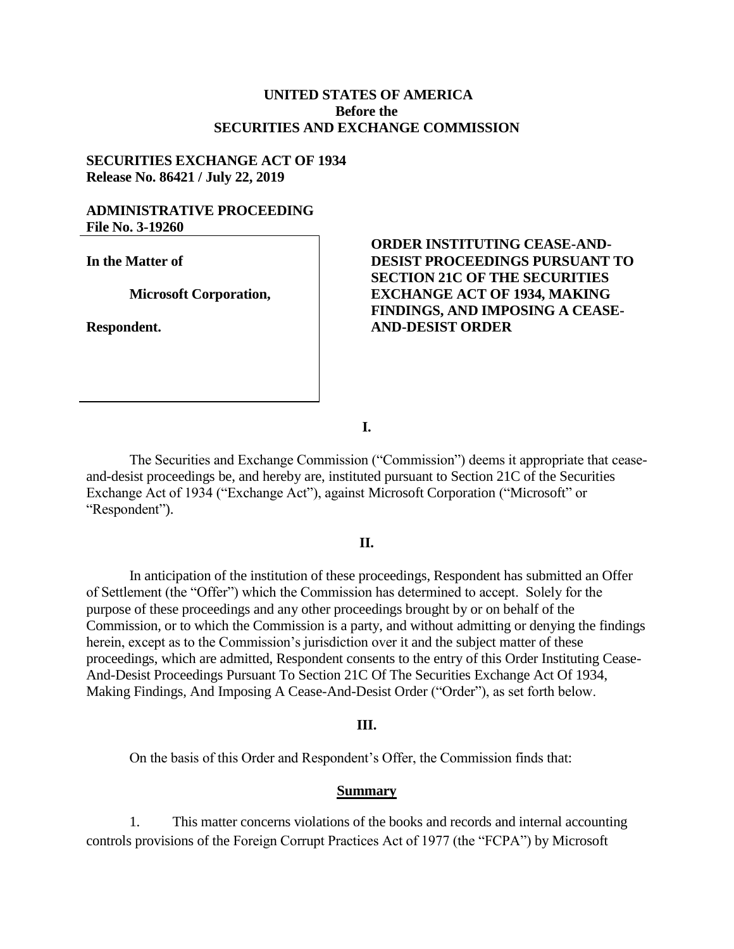# **UNITED STATES OF AMERICA Before the SECURITIES AND EXCHANGE COMMISSION**

## **SECURITIES EXCHANGE ACT OF 1934 Release No. 86421 / July 22, 2019**

## **ADMINISTRATIVE PROCEEDING File No. 3-19260**

**In the Matter of** 

**Microsoft Corporation,**

**Respondent.** 

# **ORDER INSTITUTING CEASE-AND-DESIST PROCEEDINGS PURSUANT TO SECTION 21C OF THE SECURITIES EXCHANGE ACT OF 1934, MAKING FINDINGS, AND IMPOSING A CEASE-AND-DESIST ORDER**

**I.**

The Securities and Exchange Commission ("Commission") deems it appropriate that ceaseand-desist proceedings be, and hereby are, instituted pursuant to Section 21C of the Securities Exchange Act of 1934 ("Exchange Act"), against Microsoft Corporation ("Microsoft" or "Respondent").

## **II.**

In anticipation of the institution of these proceedings, Respondent has submitted an Offer at Settlement (the "Offer") which the Commission has determined to accept. Solely for the purpose of these proceedings and any other proceedings brought by or on behalf of the Commission, or to which the Commission is a party, and without admitting or denying the findings herein, except as to the Commission's jurisdiction over it and the subject matter of these proceedings, which are admitted, Respondent consents to the entry of this Order Instituting Cease-And-Desist Proceedings Pursuant To Section 21C Of The Securities Exchange Act Of 1934, Making Findings, And Imposing A Cease-And-Desist Order ("Order"), as set forth below.

#### **III.**

On the basis of this Order and Respondent's Offer, the Commission finds that:

#### **Summary**

1. This matter concerns violations of the books and records and internal accounting controls provisions of the Foreign Corrupt Practices Act of 1977 (the "FCPA") by Microsoft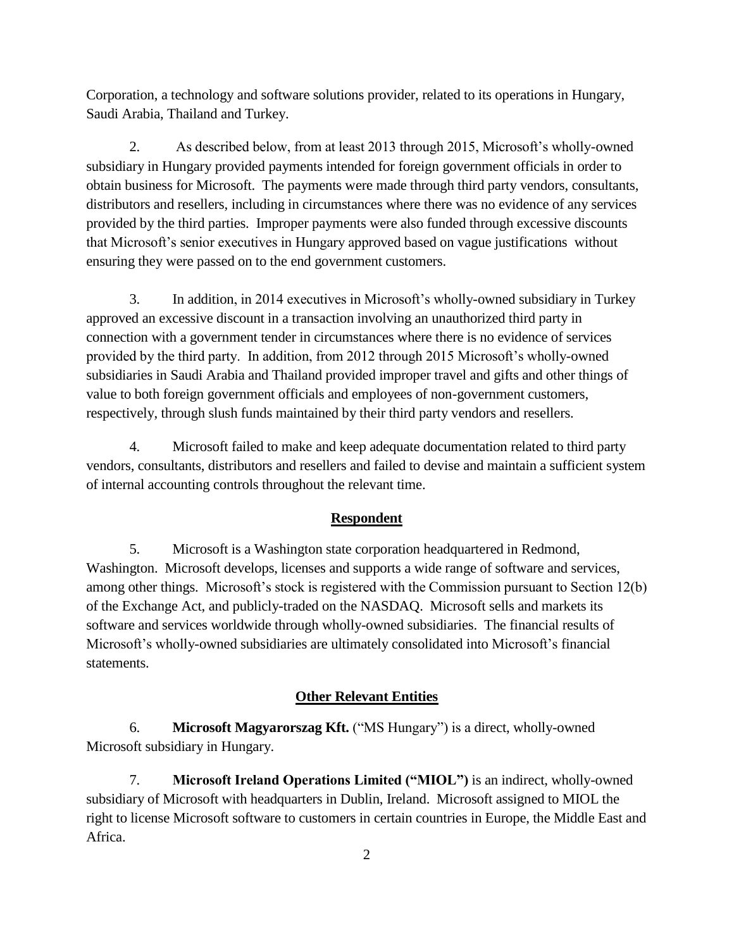Corporation, a technology and software solutions provider, related to its operations in Hungary, Saudi Arabia, Thailand and Turkey.

2. As described below, from at least 2013 through 2015, Microsoft's wholly-owned subsidiary in Hungary provided payments intended for foreign government officials in order to obtain business for Microsoft. The payments were made through third party vendors, consultants, distributors and resellers, including in circumstances where there was no evidence of any services provided by the third parties. Improper payments were also funded through excessive discounts that Microsoft's senior executives in Hungary approved based on vague justifications without ensuring they were passed on to the end government customers.

3. In addition, in 2014 executives in Microsoft's wholly-owned subsidiary in Turkey approved an excessive discount in a transaction involving an unauthorized third party in connection with a government tender in circumstances where there is no evidence of services provided by the third party. In addition, from 2012 through 2015 Microsoft's wholly-owned subsidiaries in Saudi Arabia and Thailand provided improper travel and gifts and other things of value to both foreign government officials and employees of non-government customers, respectively, through slush funds maintained by their third party vendors and resellers.

4. Microsoft failed to make and keep adequate documentation related to third party vendors, consultants, distributors and resellers and failed to devise and maintain a sufficient system of internal accounting controls throughout the relevant time.

# **Respondent**

5. Microsoft is a Washington state corporation headquartered in Redmond, Washington. Microsoft develops, licenses and supports a wide range of software and services, among other things. Microsoft's stock is registered with the Commission pursuant to Section  $12(b)$ of the Exchange Act, and publicly-traded on the NASDAQ. Microsoft sells and markets its software and services worldwide through wholly-owned subsidiaries. The financial results of Microsoft's wholly-owned subsidiaries are ultimately consolidated into Microsoft's financial statements.

# **Other Relevant Entities**

6. **Microsoft Magyarorszag Kft.** ("MS Hungary") is a direct, wholly-owned Microsoft subsidiary in Hungary.

7. **Microsoft Ireland Operations Limited ("MIOL")** is an indirect, wholly-owned subsidiary of Microsoft with headquarters in Dublin, Ireland. Microsoft assigned to MIOL the right to license Microsoft software to customers in certain countries in Europe, the Middle East and Africa.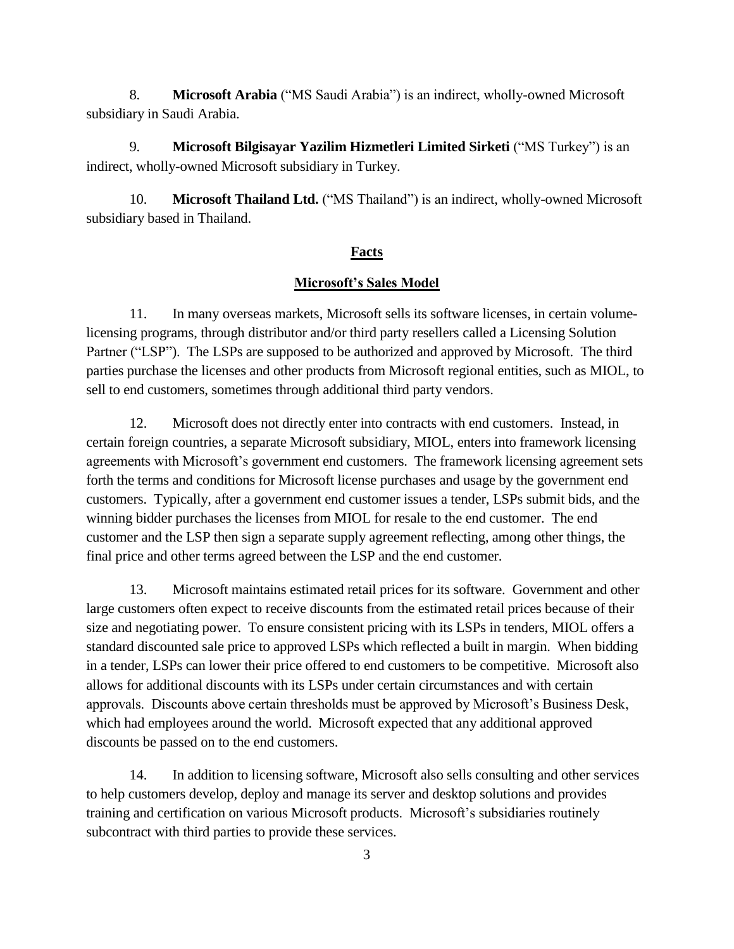8. **Microsoft Arabia** ("MS Saudi Arabia") is an indirect, wholly-owned Microsoft subsidiary in Saudi Arabia.

9. **Microsoft Bilgisayar Yazilim Hizmetleri Limited Sirketi** ("MS Turkey") is an indirect, wholly-owned Microsoft subsidiary in Turkey.

10. **Microsoft Thailand Ltd.** ("MS Thailand") is an indirect, wholly-owned Microsoft subsidiary based in Thailand.

### **Facts**

## **Microsoft's Sales Model**

11. In many overseas markets, Microsoft sells its software licenses, in certain volumelicensing programs, through distributor and/or third party resellers called a Licensing Solution Partner ("LSP"). The LSPs are supposed to be authorized and approved by Microsoft. The third parties purchase the licenses and other products from Microsoft regional entities, such as MIOL, to sell to end customers, sometimes through additional third party vendors.

12. Microsoft does not directly enter into contracts with end customers. Instead, in certain foreign countries, a separate Microsoft subsidiary, MIOL, enters into framework licensing agreements with Microsoft's government end customers. The framework licensing agreement sets forth the terms and conditions for Microsoft license purchases and usage by the government end customers. Typically, after a government end customer issues a tender, LSPs submit bids, and the winning bidder purchases the licenses from MIOL for resale to the end customer. The end customer and the LSP then sign a separate supply agreement reflecting, among other things, the final price and other terms agreed between the LSP and the end customer.

13. Microsoft maintains estimated retail prices for its software. Government and other large customers often expect to receive discounts from the estimated retail prices because of their size and negotiating power. To ensure consistent pricing with its LSPs in tenders, MIOL offers a standard discounted sale price to approved LSPs which reflected a built in margin. When bidding in a tender, LSPs can lower their price offered to end customers to be competitive. Microsoft also allows for additional discounts with its LSPs under certain circumstances and with certain approvals. Discounts above certain thresholds must be approved by Microsoft's Business Desk, which had employees around the world. Microsoft expected that any additional approved discounts be passed on to the end customers.

14. In addition to licensing software, Microsoft also sells consulting and other services to help customers develop, deploy and manage its server and desktop solutions and provides training and certification on various Microsoft products. Microsoft's subsidiaries routinely subcontract with third parties to provide these services.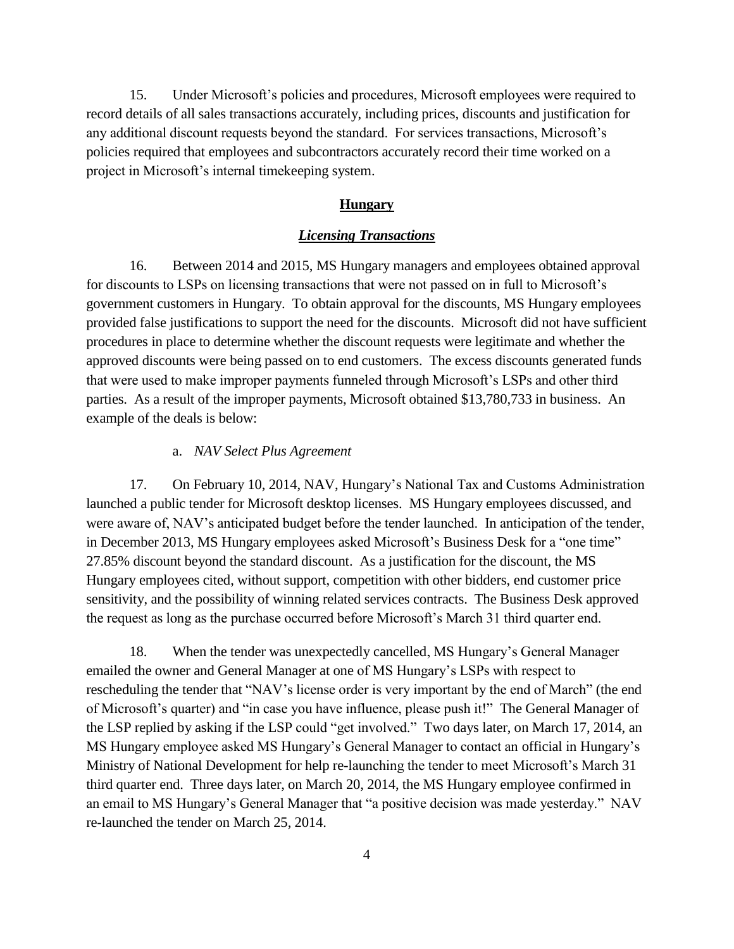15. Under Microsoft's policies and procedures, Microsoft employees were required to record details of all sales transactions accurately, including prices, discounts and justification for any additional discount requests beyond the standard. For services transactions, Microsoft's policies required that employees and subcontractors accurately record their time worked on a project in Microsoft's internal timekeeping system.

## **Hungary**

### *Licensing Transactions*

16. Between 2014 and 2015, MS Hungary managers and employees obtained approval for discounts to LSPs on licensing transactions that were not passed on in full to Microsoft's government customers in Hungary. To obtain approval for the discounts, MS Hungary employees provided false justifications to support the need for the discounts. Microsoft did not have sufficient procedures in place to determine whether the discount requests were legitimate and whether the approved discounts were being passed on to end customers. The excess discounts generated funds that were used to make improper payments funneled through Microsoft's LSPs and other third parties. As a result of the improper payments, Microsoft obtained \$13,780,733 in business. An example of the deals is below:

#### a. *NAV Select Plus Agreement*

17. On February 10, 2014, NAV, Hungary's National Tax and Customs Administration launched a public tender for Microsoft desktop licenses. MS Hungary employees discussed, and were aware of, NAV's anticipated budget before the tender launched. In anticipation of the tender, in December 2013, MS Hungary employees asked Microsoft's Business Desk for a "one time" 27.85% discount beyond the standard discount. As a justification for the discount, the MS Hungary employees cited, without support, competition with other bidders, end customer price sensitivity, and the possibility of winning related services contracts. The Business Desk approved the request as long as the purchase occurred before Microsoft's March 31 third quarter end.

18. When the tender was unexpectedly cancelled, MS Hungary's General Manager emailed the owner and General Manager at one of MS Hungary's LSPs with respect to rescheduling the tender that "NAV's license order is very important by the end of March" (the end of Microsoft's quarter) and "in case you have influence, please push it!" The General Manager of the LSP replied by asking if the LSP could "get involved." Two days later, on March 17, 2014, an MS Hungary employee asked MS Hungary's General Manager to contact an official in Hungary's Ministry of National Development for help re-launching the tender to meet Microsoft's March 31 third quarter end. Three days later, on March 20, 2014, the MS Hungary employee confirmed in an email to MS Hungary's General Manager that "a positive decision was made yesterday." NAV re-launched the tender on March 25, 2014.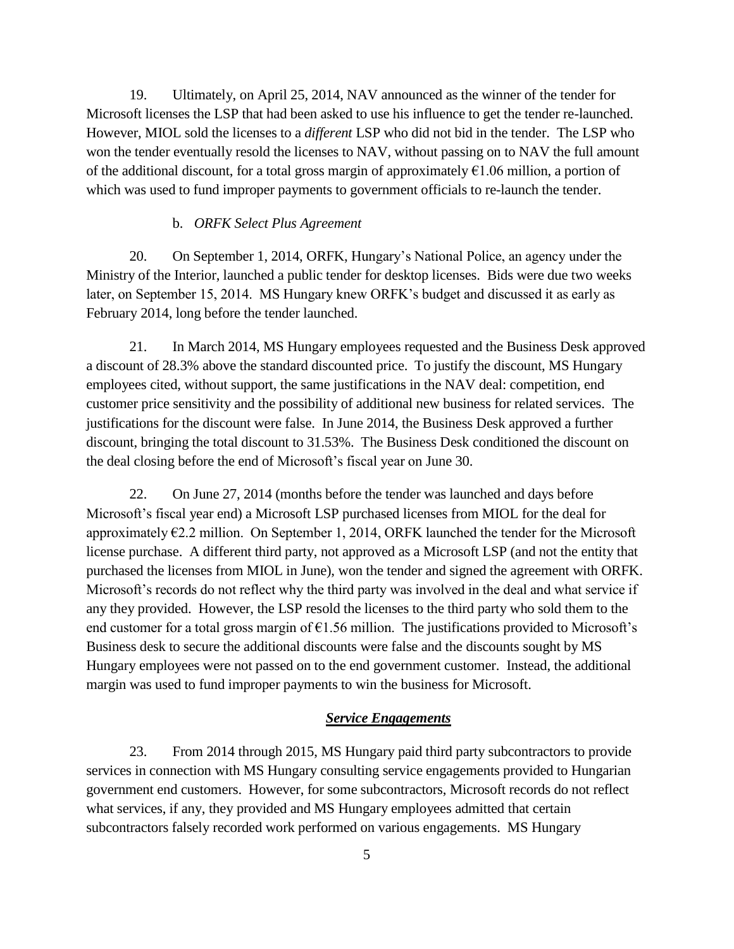19. Ultimately, on April 25, 2014, NAV announced as the winner of the tender for Microsoft licenses the LSP that had been asked to use his influence to get the tender re-launched. However, MIOL sold the licenses to a *different* LSP who did not bid in the tender. The LSP who won the tender eventually resold the licenses to NAV, without passing on to NAV the full amount of the additional discount, for a total gross margin of approximately  $\epsilon$ 1.06 million, a portion of which was used to fund improper payments to government officials to re-launch the tender.

## b. *ORFK Select Plus Agreement*

20. On September 1, 2014, ORFK, Hungary's National Police, an agency under the Ministry of the Interior, launched a public tender for desktop licenses. Bids were due two weeks later, on September 15, 2014. MS Hungary knew ORFK's budget and discussed it as early as February 2014, long before the tender launched.

21. In March 2014, MS Hungary employees requested and the Business Desk approved a discount of 28.3% above the standard discounted price. To justify the discount, MS Hungary employees cited, without support, the same justifications in the NAV deal: competition, end customer price sensitivity and the possibility of additional new business for related services. The justifications for the discount were false. In June 2014, the Business Desk approved a further discount, bringing the total discount to 31.53%. The Business Desk conditioned the discount on the deal closing before the end of Microsoft's fiscal year on June 30.

22. On June 27, 2014 (months before the tender was launched and days before Microsoft's fiscal year end) a Microsoft LSP purchased licenses from MIOL for the deal for approximately  $\epsilon$ 2.2 million. On September 1, 2014, ORFK launched the tender for the Microsoft license purchase. A different third party, not approved as a Microsoft LSP (and not the entity that purchased the licenses from MIOL in June), won the tender and signed the agreement with ORFK. Microsoft's records do not reflect why the third party was involved in the deal and what service if any they provided. However, the LSP resold the licenses to the third party who sold them to the end customer for a total gross margin of  $\epsilon$ 1.56 million. The justifications provided to Microsoft's Business desk to secure the additional discounts were false and the discounts sought by MS Hungary employees were not passed on to the end government customer. Instead, the additional margin was used to fund improper payments to win the business for Microsoft.

### *Service Engagements*

23. From 2014 through 2015, MS Hungary paid third party subcontractors to provide services in connection with MS Hungary consulting service engagements provided to Hungarian government end customers. However, for some subcontractors, Microsoft records do not reflect what services, if any, they provided and MS Hungary employees admitted that certain subcontractors falsely recorded work performed on various engagements. MS Hungary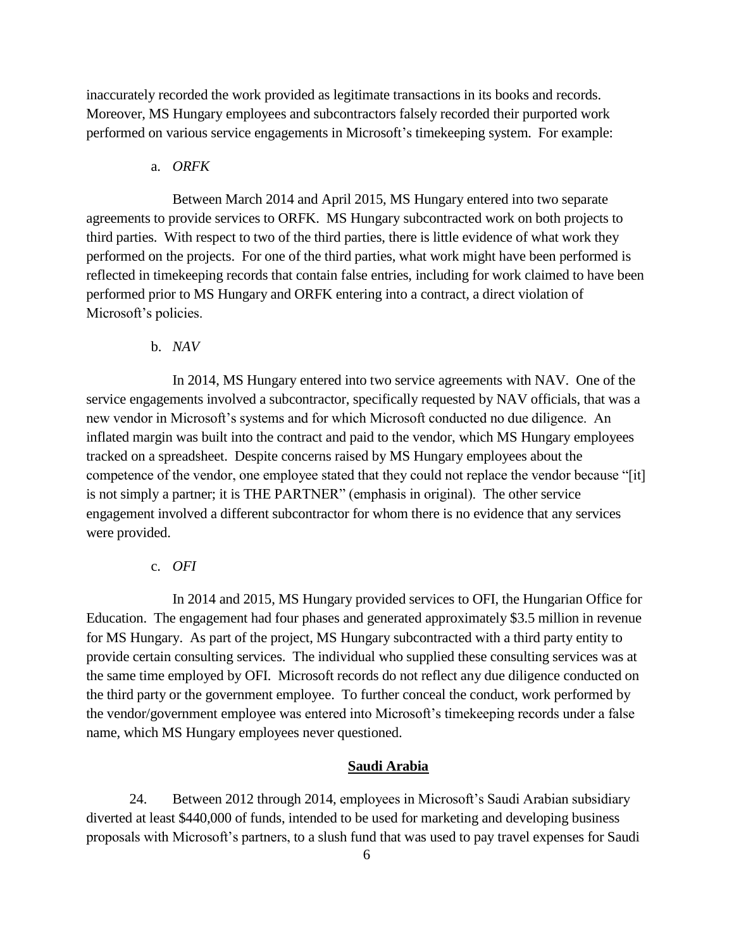inaccurately recorded the work provided as legitimate transactions in its books and records. Moreover, MS Hungary employees and subcontractors falsely recorded their purported work performed on various service engagements in Microsoft's timekeeping system. For example:

## a. *ORFK*

Between March 2014 and April 2015, MS Hungary entered into two separate agreements to provide services to ORFK. MS Hungary subcontracted work on both projects to third parties. With respect to two of the third parties, there is little evidence of what work they performed on the projects. For one of the third parties, what work might have been performed is reflected in timekeeping records that contain false entries, including for work claimed to have been performed prior to MS Hungary and ORFK entering into a contract, a direct violation of Microsoft's policies.

b. *NAV*

In 2014, MS Hungary entered into two service agreements with NAV. One of the service engagements involved a subcontractor, specifically requested by NAV officials, that was a new vendor in Microsoft's systems and for which Microsoft conducted no due diligence. An inflated margin was built into the contract and paid to the vendor, which MS Hungary employees tracked on a spreadsheet. Despite concerns raised by MS Hungary employees about the competence of the vendor, one employee stated that they could not replace the vendor because "[it] is not simply a partner; it is THE PARTNER" (emphasis in original). The other service engagement involved a different subcontractor for whom there is no evidence that any services were provided.

c. *OFI*

In 2014 and 2015, MS Hungary provided services to OFI, the Hungarian Office for Education. The engagement had four phases and generated approximately \$3.5 million in revenue for MS Hungary. As part of the project, MS Hungary subcontracted with a third party entity to provide certain consulting services. The individual who supplied these consulting services was at the same time employed by OFI. Microsoft records do not reflect any due diligence conducted on the third party or the government employee. To further conceal the conduct, work performed by the vendor/government employee was entered into Microsoft's time keeping records under a false name, which MS Hungary employees never questioned.

## **Saudi Arabia**

24. Between 2012 through 2014, employees in Microsoft's Saudi Arabian subsidiary diverted at least \$440,000 of funds, intended to be used for marketing and developing business proposals with Microsoft's partners, to a slush fund that was used to pay travel expenses for Saudi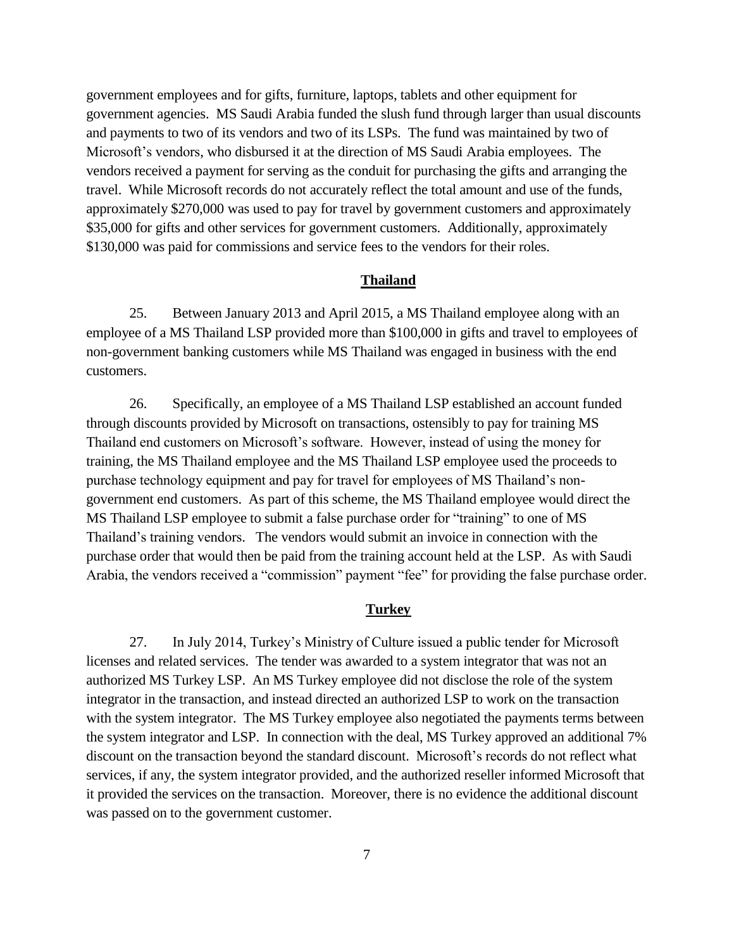government employees and for gifts, furniture, laptops, tablets and other equipment for government agencies. MS Saudi Arabia funded the slush fund through larger than usual discounts and payments to two of its vendors and two of its LSPs. The fund was maintained by two of Microsoft's vendors, who disbursed it at the direction of MS Saudi Arabia employees. The vendors received a payment for serving as the conduit for purchasing the gifts and arranging the travel. While Microsoft records do not accurately reflect the total amount and use of the funds, approximately \$270,000 was used to pay for travel by government customers and approximately \$35,000 for gifts and other services for government customers. Additionally, approximately \$130,000 was paid for commissions and service fees to the vendors for their roles.

### **Thailand**

25. Between January 2013 and April 2015, a MS Thailand employee along with an employee of a MS Thailand LSP provided more than \$100,000 in gifts and travel to employees of non-government banking customers while MS Thailand was engaged in business with the end customers.

26. Specifically, an employee of a MS Thailand LSP established an account funded through discounts provided by Microsoft on transactions, ostensibly to pay for training MS Thailand end customers on Microsoft's software. However, instead of using the money for training, the MS Thailand employee and the MS Thailand LSP employee used the proceeds to purchase technology equipment and pay for travel for employees of MS Thailand's nongovernment end customers. As part of this scheme, the MS Thailand employee would direct the MS Thailand LSP employee to submit a false purchase order for "training" to one of MS Thailand's training vendors. The vendors would submit an invoice in connection with the purchase order that would then be paid from the training account held at the LSP. As with Saudi Arabia, the vendors received a "commission" payment "fee" for providing the false purchase order.

## **Turkey**

27. In July 2014, Turkey's Ministry of Culture issued a public tender for Microsoft licenses and related services. The tender was awarded to a system integrator that was not an authorized MS Turkey LSP. An MS Turkey employee did not disclose the role of the system integrator in the transaction, and instead directed an authorized LSP to work on the transaction with the system integrator. The MS Turkey employee also negotiated the payments terms between the system integrator and LSP. In connection with the deal, MS Turkey approved an additional 7% discount on the transaction beyond the standard discount. Microsoft's records do not reflect what services, if any, the system integrator provided, and the authorized reseller informed Microsoft that it provided the services on the transaction. Moreover, there is no evidence the additional discount was passed on to the government customer.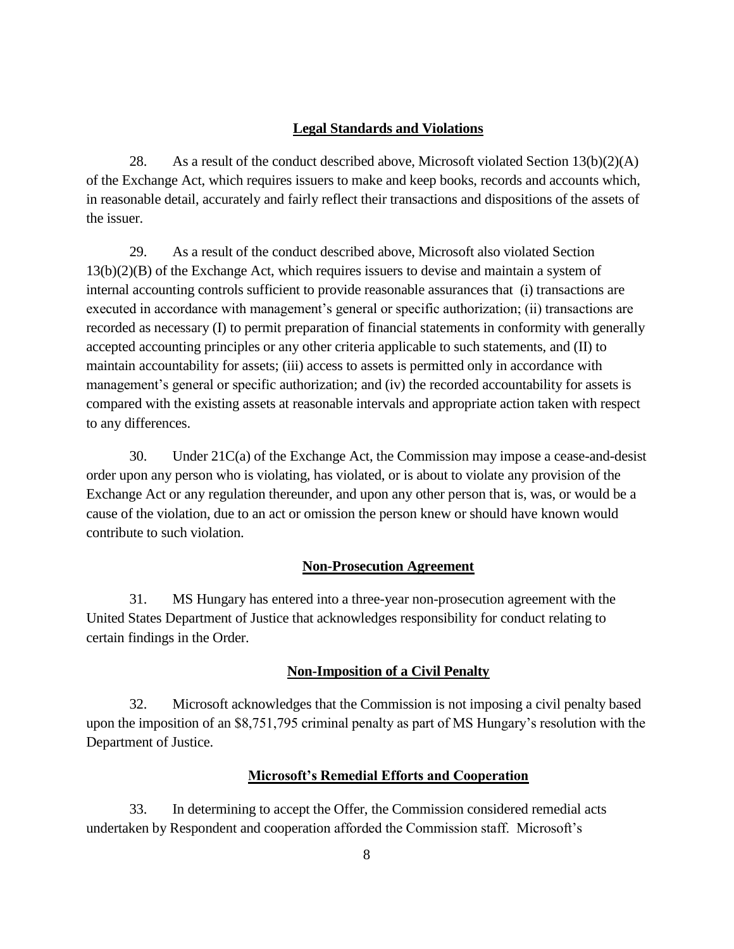# **Legal Standards and Violations**

28. As a result of the conduct described above, Microsoft violated Section  $13(b)(2)(A)$ of the Exchange Act, which requires issuers to make and keep books, records and accounts which, in reasonable detail, accurately and fairly reflect their transactions and dispositions of the assets of the issuer.

29. As a result of the conduct described above, Microsoft also violated Section 13(b)(2)(B) of the Exchange Act, which requires issuers to devise and maintain a system of internal accounting controls sufficient to provide reasonable assurances that (i) transactions are executed in accordance with management's general or specific authorization; (ii) transactions are recorded as necessary (I) to permit preparation of financial statements in conformity with generally accepted accounting principles or any other criteria applicable to such statements, and (II) to maintain accountability for assets; (iii) access to assets is permitted only in accordance with management's general or specific authorization; and (iv) the recorded accountability for assets is compared with the existing assets at reasonable intervals and appropriate action taken with respect to any differences.

30. Under 21C(a) of the Exchange Act, the Commission may impose a cease-and-desist order upon any person who is violating, has violated, or is about to violate any provision of the Exchange Act or any regulation thereunder, and upon any other person that is, was, or would be a cause of the violation, due to an act or omission the person knew or should have known would contribute to such violation.

# **Non-Prosecution Agreement**

31. MS Hungary has entered into a three-year non-prosecution agreement with the United States Department of Justice that acknowledges responsibility for conduct relating to certain findings in the Order.

## **Non-Imposition of a Civil Penalty**

32. Microsoft acknowledges that the Commission is not imposing a civil penalty based upon the imposition of an  $$8,751,795$  criminal penalty as part of MS Hungary's resolution with the Department of Justice.

## **Microsoft's Remedial Efforts and Cooperation**

33. In determining to accept the Offer, the Commission considered remedial acts undertaken by Respondent and cooperation afforded the Commission staff. Microsoft's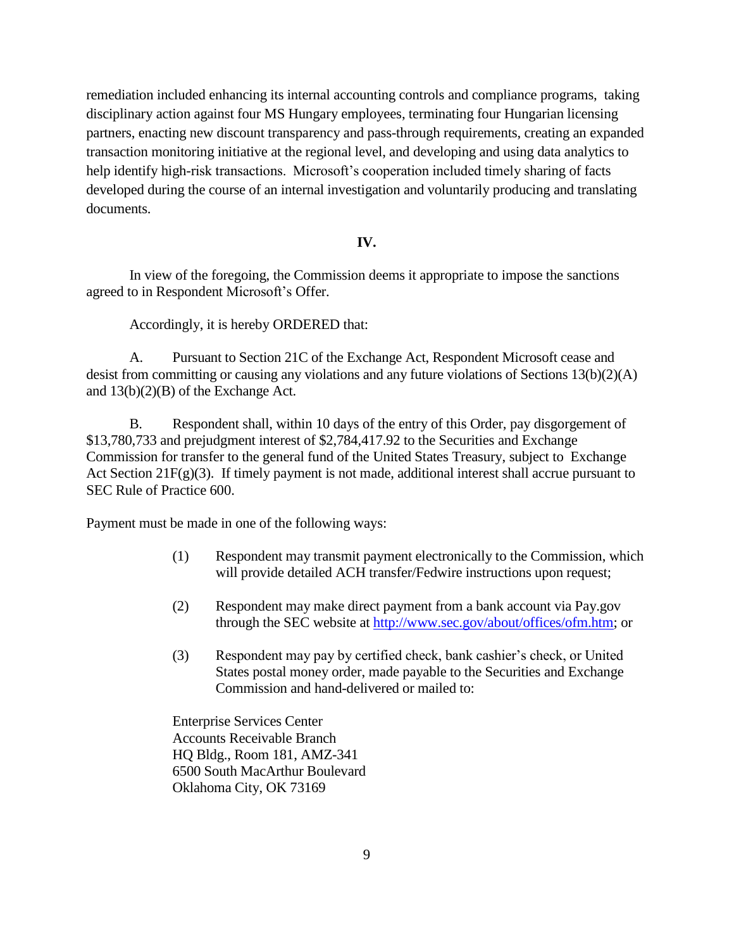remediation included enhancing its internal accounting controls and compliance programs, taking disciplinary action against four MS Hungary employees, terminating four Hungarian licensing partners, enacting new discount transparency and pass-through requirements, creating an expanded transaction monitoring initiative at the regional level, and developing and using data analytics to help identify high-risk transactions. Microsoft's cooperation included timely sharing of facts developed during the course of an internal investigation and voluntarily producing and translating documents.

#### **IV.**

In view of the foregoing, the Commission deems it appropriate to impose the sanctions agreed to in Respondent Microsoft's Offer.

Accordingly, it is hereby ORDERED that:

A. Pursuant to Section 21C of the Exchange Act, Respondent Microsoft cease and desist from committing or causing any violations and any future violations of Sections 13(b)(2)(A) and 13(b)(2)(B) of the Exchange Act.

B. Respondent shall, within 10 days of the entry of this Order, pay disgorgement of \$13,780,733 and prejudgment interest of \$2,784,417.92 to the Securities and Exchange Commission for transfer to the general fund of the United States Treasury, subject to Exchange Act Section 21F(g)(3). If timely payment is not made, additional interest shall accrue pursuant to SEC Rule of Practice 600.

Payment must be made in one of the following ways:

- (1) Respondent may transmit payment electronically to the Commission, which will provide detailed ACH transfer/Fedwire instructions upon request;
- (2) Respondent may make direct payment from a bank account via Pay.gov through the SEC website at http://www.sec.gov/about/offices/ofm.htm; or
- $(3)$  Respondent may pay by certified check, bank cashier's check, or United States postal money order, made payable to the Securities and Exchange Commission and hand-delivered or mailed to:

Enterprise Services Center Accounts Receivable Branch HQ Bldg., Room 181, AMZ-341 6500 South MacArthur Boulevard Oklahoma City, OK 73169